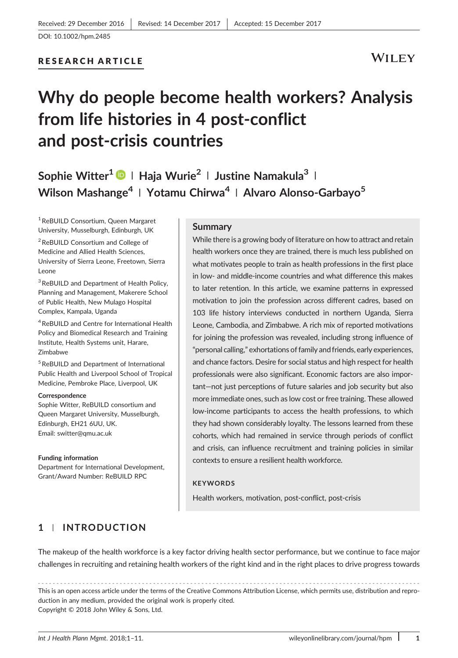# RESEARCH ARTICLE

WILEY

# Why do people become health workers? Analysis from life histories in 4 post-conflict and post‐crisis countries

Sophie Witter<sup>1</sup>  $\bullet$  | Haja Wurie<sup>2</sup> | Justine Namakula<sup>3</sup> | Wilson Mashange<sup>4</sup> | Yotamu Chirwa<sup>4</sup> | Alvaro Alonso-Garbayo<sup>5</sup>

1ReBUILD Consortium, Queen Margaret University, Musselburgh, Edinburgh, UK

<sup>2</sup> ReBUILD Consortium and College of Medicine and Allied Health Sciences, University of Sierra Leone, Freetown, Sierra Leone

<sup>3</sup> ReBUILD and Department of Health Policy, Planning and Management, Makerere School of Public Health, New Mulago Hospital Complex, Kampala, Uganda

4ReBUILD and Centre for International Health Policy and Biomedical Research and Training Institute, Health Systems unit, Harare, Zimbabwe

5ReBUILD and Department of International Public Health and Liverpool School of Tropical Medicine, Pembroke Place, Liverpool, UK

#### Correspondence

Sophie Witter, ReBUILD consortium and Queen Margaret University, Musselburgh, Edinburgh, EH21 6UU, UK. Email: [switter@qmu.ac.uk](mailto:switter@qmu.ac.uk)

#### Funding information

Department for International Development, Grant/Award Number: ReBUILD RPC

#### Summary

While there is a growing body of literature on how to attract and retain health workers once they are trained, there is much less published on what motivates people to train as health professions in the first place in low‐ and middle‐income countries and what difference this makes to later retention. In this article, we examine patterns in expressed motivation to join the profession across different cadres, based on 103 life history interviews conducted in northern Uganda, Sierra Leone, Cambodia, and Zimbabwe. A rich mix of reported motivations for joining the profession was revealed, including strong influence of "personal calling," exhortations of family and friends, early experiences, and chance factors. Desire for social status and high respect for health professionals were also significant. Economic factors are also important—not just perceptions of future salaries and job security but also more immediate ones, such as low cost or free training. These allowed low‐income participants to access the health professions, to which they had shown considerably loyalty. The lessons learned from these cohorts, which had remained in service through periods of conflict and crisis, can influence recruitment and training policies in similar contexts to ensure a resilient health workforce.

#### **KEYWORDS**

Health workers, motivation, post-conflict, post-crisis

# 1 | INTRODUCTION

The makeup of the health workforce is a key factor driving health sector performance, but we continue to face major challenges in recruiting and retaining health workers of the right kind and in the right places to drive progress towards

------------------------------------------------------------------------------------------------------- This is an open access article under the terms of the [Creative Commons Attribution](http://creativecommons.org/licenses/by/4.0/) License, which permits use, distribution and reproduction in any medium, provided the original work is properly cited. Copyright © 2018 John Wiley & Sons, Ltd.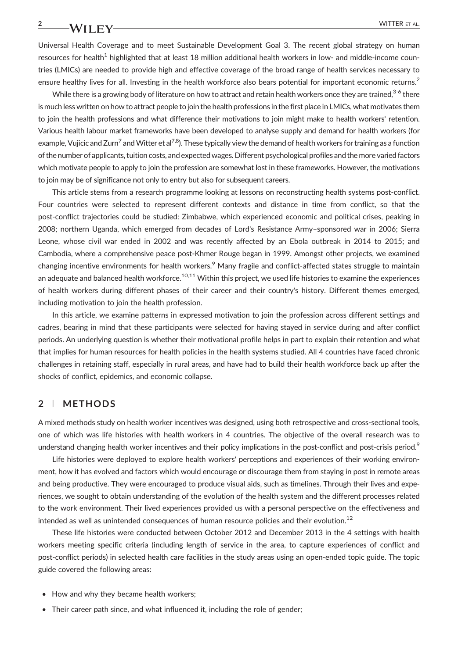Universal Health Coverage and to meet Sustainable Development Goal 3. The recent global strategy on human resources for health<sup>1</sup> highlighted that at least 18 million additional health workers in low- and middle-income countries (LMICs) are needed to provide high and effective coverage of the broad range of health services necessary to ensure healthy lives for all. Investing in the health workforce also bears potential for important economic returns.<sup>2</sup>

While there is a growing body of literature on how to attract and retain health workers once they are trained, $3-6$  there is much less written on how to attract people to join the health professions in the first place in LMICs, what motivates them to join the health professions and what difference their motivations to join might make to health workers' retention. Various health labour market frameworks have been developed to analyse supply and demand for health workers (for example, Vujicic and Zurn<sup>7</sup> and Witter et al<sup>7,8</sup>). These typically view the demand of health workers for training as a function of the number of applicants, tuition costs, and expected wages. Different psychological profiles and the more varied factors which motivate people to apply to join the profession are somewhat lost in these frameworks. However, the motivations to join may be of significance not only to entry but also for subsequent careers.

This article stems from a research programme looking at lessons on reconstructing health systems post‐conflict. Four countries were selected to represent different contexts and distance in time from conflict, so that the post-conflict trajectories could be studied: Zimbabwe, which experienced economic and political crises, peaking in 2008; northern Uganda, which emerged from decades of Lord's Resistance Army–sponsored war in 2006; Sierra Leone, whose civil war ended in 2002 and was recently affected by an Ebola outbreak in 2014 to 2015; and Cambodia, where a comprehensive peace post‐Khmer Rouge began in 1999. Amongst other projects, we examined changing incentive environments for health workers.<sup>9</sup> Many fragile and conflict-affected states struggle to maintain an adequate and balanced health workforce.<sup>10,11</sup> Within this project, we used life histories to examine the experiences of health workers during different phases of their career and their country's history. Different themes emerged, including motivation to join the health profession.

In this article, we examine patterns in expressed motivation to join the profession across different settings and cadres, bearing in mind that these participants were selected for having stayed in service during and after conflict periods. An underlying question is whether their motivational profile helps in part to explain their retention and what that implies for human resources for health policies in the health systems studied. All 4 countries have faced chronic challenges in retaining staff, especially in rural areas, and have had to build their health workforce back up after the shocks of conflict, epidemics, and economic collapse.

#### 2 | METHODS

A mixed methods study on health worker incentives was designed, using both retrospective and cross‐sectional tools, one of which was life histories with health workers in 4 countries. The objective of the overall research was to understand changing health worker incentives and their policy implications in the post-conflict and post-crisis period.<sup>9</sup>

Life histories were deployed to explore health workers' perceptions and experiences of their working environment, how it has evolved and factors which would encourage or discourage them from staying in post in remote areas and being productive. They were encouraged to produce visual aids, such as timelines. Through their lives and experiences, we sought to obtain understanding of the evolution of the health system and the different processes related to the work environment. Their lived experiences provided us with a personal perspective on the effectiveness and intended as well as unintended consequences of human resource policies and their evolution.<sup>12</sup>

These life histories were conducted between October 2012 and December 2013 in the 4 settings with health workers meeting specific criteria (including length of service in the area, to capture experiences of conflict and post-conflict periods) in selected health care facilities in the study areas using an open-ended topic guide. The topic guide covered the following areas:

- How and why they became health workers;
- Their career path since, and what influenced it, including the role of gender;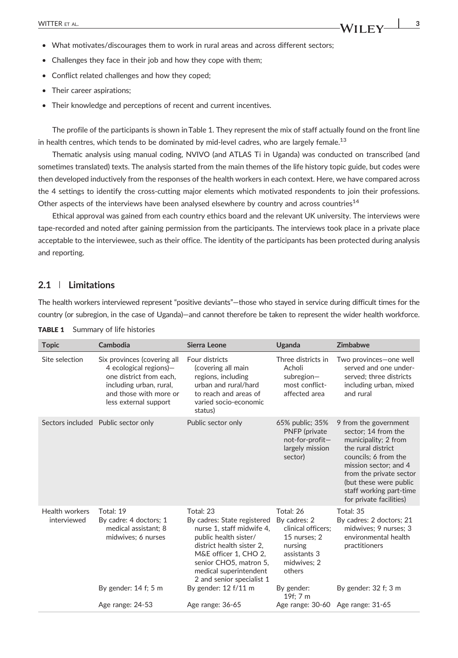- What motivates/discourages them to work in rural areas and across different sectors;
- Challenges they face in their job and how they cope with them;
- Conflict related challenges and how they coped;
- Their career aspirations;
- Their knowledge and perceptions of recent and current incentives.

The profile of the participants is shown in Table 1. They represent the mix of staff actually found on the front line in health centres, which tends to be dominated by mid-level cadres, who are largely female.<sup>13</sup>

Thematic analysis using manual coding, NVIVO (and ATLAS Ti in Uganda) was conducted on transcribed (and sometimes translated) texts. The analysis started from the main themes of the life history topic guide, but codes were then developed inductively from the responses of the health workers in each context. Here, we have compared across the 4 settings to identify the cross-cutting major elements which motivated respondents to join their professions. Other aspects of the interviews have been analysed elsewhere by country and across countries $^{14}$ 

Ethical approval was gained from each country ethics board and the relevant UK university. The interviews were tape‐recorded and noted after gaining permission from the participants. The interviews took place in a private place acceptable to the interviewee, such as their office. The identity of the participants has been protected during analysis and reporting.

#### 2.1 | Limitations

The health workers interviewed represent "positive deviants"—those who stayed in service during difficult times for the country (or subregion, in the case of Uganda)—and cannot therefore be taken to represent the wider health workforce.

| <b>Topic</b>                  | Cambodia                                                                                                                                                       | Sierra Leone                                                                                                                                                                                                                          | Uganda                                                                                                              | <b>Zimbabwe</b>                                                                                                                                                                                                                                        |
|-------------------------------|----------------------------------------------------------------------------------------------------------------------------------------------------------------|---------------------------------------------------------------------------------------------------------------------------------------------------------------------------------------------------------------------------------------|---------------------------------------------------------------------------------------------------------------------|--------------------------------------------------------------------------------------------------------------------------------------------------------------------------------------------------------------------------------------------------------|
| Site selection                | Six provinces (covering all<br>4 ecological regions)-<br>one district from each.<br>including urban, rural,<br>and those with more or<br>less external support | Four districts<br>(covering all main<br>regions, including<br>urban and rural/hard<br>to reach and areas of<br>varied socio-economic<br>status)                                                                                       | Three districts in<br>Acholi<br>subregion-<br>most conflict-<br>affected area                                       | Two provinces-one well<br>served and one under-<br>served; three districts<br>including urban, mixed<br>and rural                                                                                                                                      |
|                               | Sectors included Public sector only                                                                                                                            | Public sector only                                                                                                                                                                                                                    | 65% public; 35%<br>PNFP (private<br>not-for-profit-<br>largely mission<br>sector)                                   | 9 from the government<br>sector; 14 from the<br>municipality; 2 from<br>the rural district<br>councils; 6 from the<br>mission sector; and 4<br>from the private sector<br>(but these were public<br>staff working part-time<br>for private facilities) |
| Health workers<br>interviewed | Total: 19<br>By cadre: 4 doctors; 1<br>medical assistant: 8<br>midwives; 6 nurses                                                                              | Total: 23<br>By cadres: State registered<br>nurse 1, staff midwife 4,<br>public health sister/<br>district health sister 2.<br>M&E officer 1, CHO 2,<br>senior CHO5, matron 5,<br>medical superintendent<br>2 and senior specialist 1 | Total: 26<br>By cadres: 2<br>clinical officers:<br>15 nurses: 2<br>nursing<br>assistants 3<br>midwives: 2<br>others | Total: 35<br>By cadres: 2 doctors; 21<br>midwives; 9 nurses; 3<br>environmental health<br>practitioners                                                                                                                                                |
|                               | By gender: $14 f$ ; 5 m                                                                                                                                        | By gender: $12 f/11 m$                                                                                                                                                                                                                | By gender:<br>19f; 7 m                                                                                              | By gender: 32 f; 3 m                                                                                                                                                                                                                                   |
|                               | Age range: 24-53                                                                                                                                               | Age range: 36-65                                                                                                                                                                                                                      | Age range: 30-60 Age range: 31-65                                                                                   |                                                                                                                                                                                                                                                        |

TABLE 1 Summary of life histories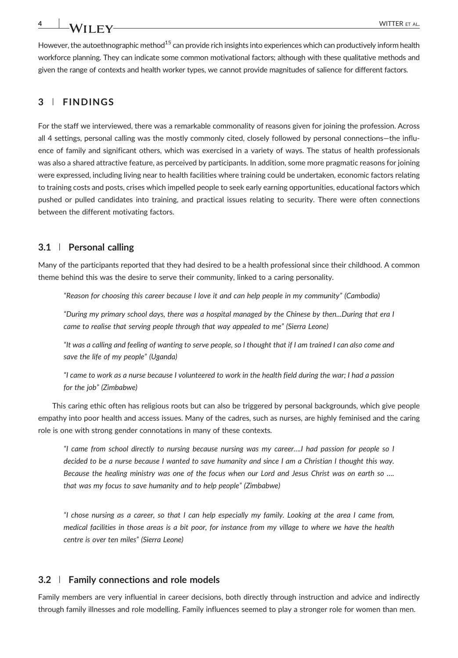However, the autoethnographic method<sup>15</sup> can provide rich insights into experiences which can productively inform health workforce planning. They can indicate some common motivational factors; although with these qualitative methods and given the range of contexts and health worker types, we cannot provide magnitudes of salience for different factors.

## 3 | FINDINGS

For the staff we interviewed, there was a remarkable commonality of reasons given for joining the profession. Across all 4 settings, personal calling was the mostly commonly cited, closely followed by personal connections—the influence of family and significant others, which was exercised in a variety of ways. The status of health professionals was also a shared attractive feature, as perceived by participants. In addition, some more pragmatic reasons for joining were expressed, including living near to health facilities where training could be undertaken, economic factors relating to training costs and posts, crises which impelled people to seek early earning opportunities, educational factors which pushed or pulled candidates into training, and practical issues relating to security. There were often connections between the different motivating factors.

#### 3.1 | Personal calling

Many of the participants reported that they had desired to be a health professional since their childhood. A common theme behind this was the desire to serve their community, linked to a caring personality.

"Reason for choosing this career because I love it and can help people in my community" (Cambodia)

"During my primary school days, there was a hospital managed by the Chinese by then...During that era I came to realise that serving people through that way appealed to me" (Sierra Leone)

"It was a calling and feeling of wanting to serve people, so I thought that if I am trained I can also come and save the life of my people" (Uganda)

"I came to work as a nurse because I volunteered to work in the health field during the war; I had a passion for the job" (Zimbabwe)

This caring ethic often has religious roots but can also be triggered by personal backgrounds, which give people empathy into poor health and access issues. Many of the cadres, such as nurses, are highly feminised and the caring role is one with strong gender connotations in many of these contexts.

"I came from school directly to nursing because nursing was my career….I had passion for people so I decided to be a nurse because I wanted to save humanity and since I am a Christian I thought this way. Because the healing ministry was one of the focus when our Lord and Jesus Christ was on earth so …. that was my focus to save humanity and to help people" (Zimbabwe)

"I chose nursing as a career, so that I can help especially my family. Looking at the area I came from, medical facilities in those areas is a bit poor, for instance from my village to where we have the health centre is over ten miles" (Sierra Leone)

#### 3.2 | Family connections and role models

Family members are very influential in career decisions, both directly through instruction and advice and indirectly through family illnesses and role modelling. Family influences seemed to play a stronger role for women than men.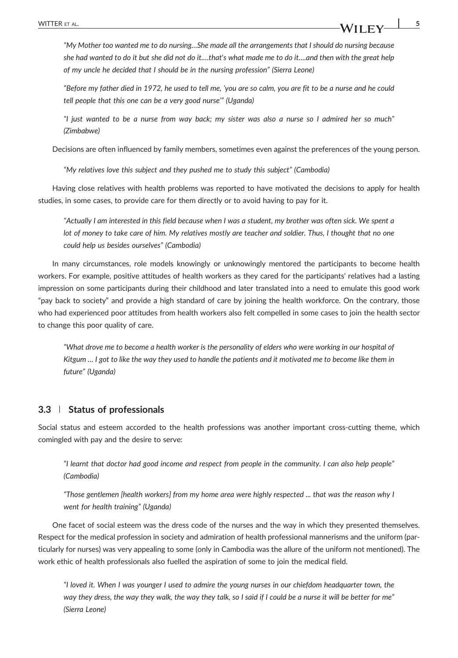"My Mother too wanted me to do nursing…She made all the arrangements that I should do nursing because she had wanted to do it but she did not do it.…that's what made me to do it….and then with the great help of my uncle he decided that I should be in the nursing profession" (Sierra Leone)

"Before my father died in 1972, he used to tell me, 'you are so calm, you are fit to be a nurse and he could tell people that this one can be a very good nurse'" (Uganda)

"I just wanted to be a nurse from way back; my sister was also a nurse so I admired her so much" (Zimbabwe)

Decisions are often influenced by family members, sometimes even against the preferences of the young person.

"My relatives love this subject and they pushed me to study this subject" (Cambodia)

Having close relatives with health problems was reported to have motivated the decisions to apply for health studies, in some cases, to provide care for them directly or to avoid having to pay for it.

"Actually I am interested in this field because when I was a student, my brother was often sick. We spent a lot of money to take care of him. My relatives mostly are teacher and soldier. Thus, I thought that no one could help us besides ourselves" (Cambodia)

In many circumstances, role models knowingly or unknowingly mentored the participants to become health workers. For example, positive attitudes of health workers as they cared for the participants' relatives had a lasting impression on some participants during their childhood and later translated into a need to emulate this good work "pay back to society" and provide a high standard of care by joining the health workforce. On the contrary, those who had experienced poor attitudes from health workers also felt compelled in some cases to join the health sector to change this poor quality of care.

"What drove me to become a health worker is the personality of elders who were working in our hospital of Kitgum … I got to like the way they used to handle the patients and it motivated me to become like them in future" (Uganda)

#### 3.3 | Status of professionals

Social status and esteem accorded to the health professions was another important cross-cutting theme, which comingled with pay and the desire to serve:

"I learnt that doctor had good income and respect from people in the community. I can also help people" (Cambodia)

"Those gentlemen [health workers] from my home area were highly respected ... that was the reason why I went for health training" (Uganda)

One facet of social esteem was the dress code of the nurses and the way in which they presented themselves. Respect for the medical profession in society and admiration of health professional mannerisms and the uniform (particularly for nurses) was very appealing to some (only in Cambodia was the allure of the uniform not mentioned). The work ethic of health professionals also fuelled the aspiration of some to join the medical field.

"I loved it. When I was younger I used to admire the young nurses in our chiefdom headquarter town, the way they dress, the way they walk, the way they talk, so I said if I could be a nurse it will be better for me" (Sierra Leone)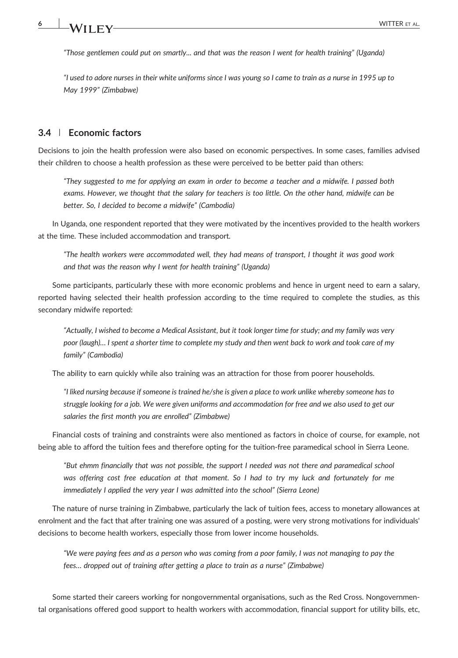"Those gentlemen could put on smartly... and that was the reason I went for health training" (Uganda)

"I used to adore nurses in their white uniforms since I was young so I came to train as a nurse in 1995 up to May 1999" (Zimbabwe)

### 3.4 | Economic factors

Decisions to join the health profession were also based on economic perspectives. In some cases, families advised their children to choose a health profession as these were perceived to be better paid than others:

"They suggested to me for applying an exam in order to become a teacher and a midwife. I passed both exams. However, we thought that the salary for teachers is too little. On the other hand, midwife can be better. So, I decided to become a midwife" (Cambodia)

In Uganda, one respondent reported that they were motivated by the incentives provided to the health workers at the time. These included accommodation and transport.

"The health workers were accommodated well, they had means of transport, I thought it was good work and that was the reason why I went for health training" (Uganda)

Some participants, particularly these with more economic problems and hence in urgent need to earn a salary, reported having selected their health profession according to the time required to complete the studies, as this secondary midwife reported:

"Actually, I wished to become a Medical Assistant, but it took longer time for study; and my family was very poor (laugh)… I spent a shorter time to complete my study and then went back to work and took care of my family" (Cambodia)

The ability to earn quickly while also training was an attraction for those from poorer households.

"I liked nursing because if someone is trained he/she is given a place to work unlike whereby someone has to struggle looking for a job. We were given uniforms and accommodation for free and we also used to get our salaries the first month you are enrolled" (Zimbabwe)

Financial costs of training and constraints were also mentioned as factors in choice of course, for example, not being able to afford the tuition fees and therefore opting for the tuition-free paramedical school in Sierra Leone.

"But ehmm financially that was not possible, the support I needed was not there and paramedical school was offering cost free education at that moment. So I had to try my luck and fortunately for me immediately I applied the very year I was admitted into the school" (Sierra Leone)

The nature of nurse training in Zimbabwe, particularly the lack of tuition fees, access to monetary allowances at enrolment and the fact that after training one was assured of a posting, were very strong motivations for individuals' decisions to become health workers, especially those from lower income households.

"We were paying fees and as a person who was coming from a poor family, I was not managing to pay the fees… dropped out of training after getting a place to train as a nurse" (Zimbabwe)

Some started their careers working for nongovernmental organisations, such as the Red Cross. Nongovernmental organisations offered good support to health workers with accommodation, financial support for utility bills, etc,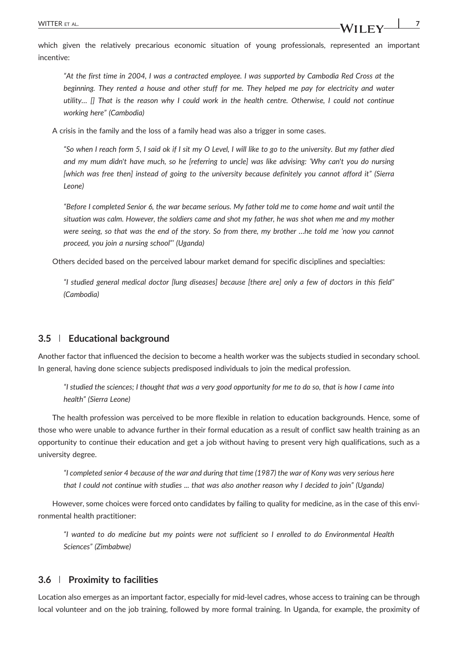which given the relatively precarious economic situation of young professionals, represented an important incentive:

"At the first time in 2004, I was a contracted employee. I was supported by Cambodia Red Cross at the beginning. They rented a house and other stuff for me. They helped me pay for electricity and water utility… [] That is the reason why I could work in the health centre. Otherwise, I could not continue working here" (Cambodia)

A crisis in the family and the loss of a family head was also a trigger in some cases.

"So when I reach form 5, I said ok if I sit my O Level, I will like to go to the university. But my father died and my mum didn't have much, so he [referring to uncle] was like advising: 'Why can't you do nursing [which was free then] instead of going to the university because definitely you cannot afford it" (Sierra Leone)

"Before I completed Senior 6, the war became serious. My father told me to come home and wait until the situation was calm. However, the soldiers came and shot my father, he was shot when me and my mother were seeing, so that was the end of the story. So from there, my brother …he told me 'now you cannot proceed, you join a nursing school"' (Uganda)

Others decided based on the perceived labour market demand for specific disciplines and specialties:

"I studied general medical doctor [lung diseases] because [there are] only a few of doctors in this field" (Cambodia)

#### 3.5 | Educational background

Another factor that influenced the decision to become a health worker was the subjects studied in secondary school. In general, having done science subjects predisposed individuals to join the medical profession.

"I studied the sciences; I thought that was a very good opportunity for me to do so, that is how I came into health" (Sierra Leone)

The health profession was perceived to be more flexible in relation to education backgrounds. Hence, some of those who were unable to advance further in their formal education as a result of conflict saw health training as an opportunity to continue their education and get a job without having to present very high qualifications, such as a university degree.

"I completed senior 4 because of the war and during that time (1987) the war of Kony was very serious here that I could not continue with studies ... that was also another reason why I decided to join" (Uganda)

However, some choices were forced onto candidates by failing to quality for medicine, as in the case of this environmental health practitioner:

"I wanted to do medicine but my points were not sufficient so I enrolled to do Environmental Health Sciences" (Zimbabwe)

#### 3.6 | Proximity to facilities

Location also emerges as an important factor, especially for mid-level cadres, whose access to training can be through local volunteer and on the job training, followed by more formal training. In Uganda, for example, the proximity of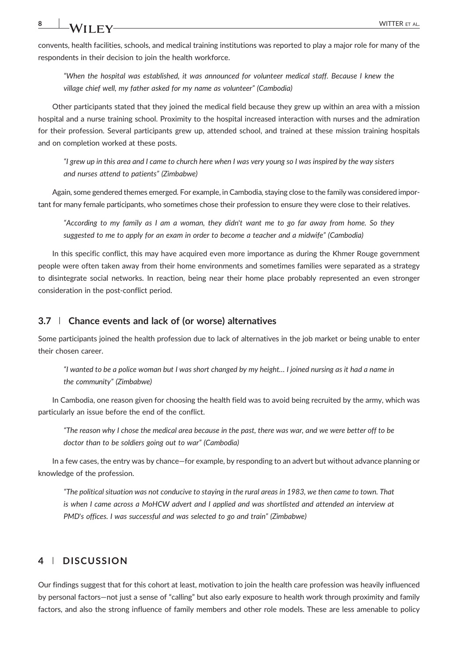convents, health facilities, schools, and medical training institutions was reported to play a major role for many of the respondents in their decision to join the health workforce.

"When the hospital was established, it was announced for volunteer medical staff. Because I knew the village chief well, my father asked for my name as volunteer" (Cambodia)

Other participants stated that they joined the medical field because they grew up within an area with a mission hospital and a nurse training school. Proximity to the hospital increased interaction with nurses and the admiration for their profession. Several participants grew up, attended school, and trained at these mission training hospitals and on completion worked at these posts.

"I grew up in this area and I came to church here when I was very young so I was inspired by the way sisters and nurses attend to patients" (Zimbabwe)

Again, some gendered themes emerged. For example, in Cambodia, staying close to the family was considered important for many female participants, who sometimes chose their profession to ensure they were close to their relatives.

"According to my family as I am a woman, they didn't want me to go far away from home. So they suggested to me to apply for an exam in order to become a teacher and a midwife" (Cambodia)

In this specific conflict, this may have acquired even more importance as during the Khmer Rouge government people were often taken away from their home environments and sometimes families were separated as a strategy to disintegrate social networks. In reaction, being near their home place probably represented an even stronger consideration in the post‐conflict period.

#### 3.7 | Chance events and lack of (or worse) alternatives

Some participants joined the health profession due to lack of alternatives in the job market or being unable to enter their chosen career.

"I wanted to be a police woman but I was short changed by my height… I joined nursing as it had a name in the community" (Zimbabwe)

In Cambodia, one reason given for choosing the health field was to avoid being recruited by the army, which was particularly an issue before the end of the conflict.

"The reason why I chose the medical area because in the past, there was war, and we were better off to be doctor than to be soldiers going out to war" (Cambodia)

In a few cases, the entry was by chance—for example, by responding to an advert but without advance planning or knowledge of the profession.

"The political situation was not conducive to staying in the rural areas in 1983, we then came to town. That is when I came across a MoHCW advert and I applied and was shortlisted and attended an interview at PMD's offices. I was successful and was selected to go and train" (Zimbabwe)

# 4 | DISCUSSION

Our findings suggest that for this cohort at least, motivation to join the health care profession was heavily influenced by personal factors—not just a sense of "calling" but also early exposure to health work through proximity and family factors, and also the strong influence of family members and other role models. These are less amenable to policy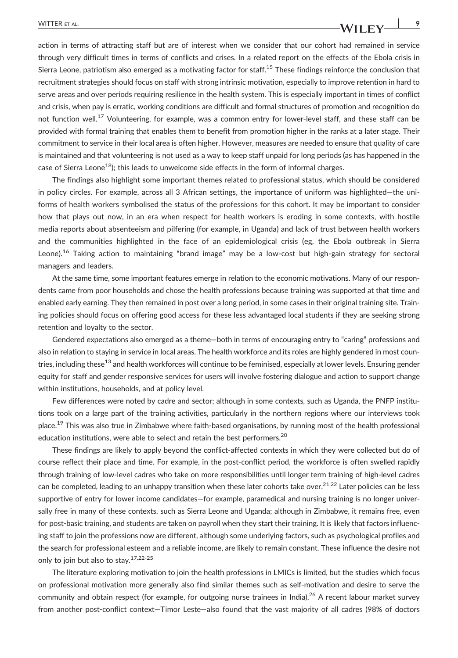action in terms of attracting staff but are of interest when we consider that our cohort had remained in service through very difficult times in terms of conflicts and crises. In a related report on the effects of the Ebola crisis in Sierra Leone, patriotism also emerged as a motivating factor for staff.<sup>15</sup> These findings reinforce the conclusion that recruitment strategies should focus on staff with strong intrinsic motivation, especially to improve retention in hard to serve areas and over periods requiring resilience in the health system. This is especially important in times of conflict and crisis, when pay is erratic, working conditions are difficult and formal structures of promotion and recognition do not function well.<sup>17</sup> Volunteering, for example, was a common entry for lower-level staff, and these staff can be provided with formal training that enables them to benefit from promotion higher in the ranks at a later stage. Their commitment to service in their local area is often higher. However, measures are needed to ensure that quality of care is maintained and that volunteering is not used as a way to keep staff unpaid for long periods (as has happened in the case of Sierra Leone<sup>18</sup>); this leads to unwelcome side effects in the form of informal charges.

The findings also highlight some important themes related to professional status, which should be considered in policy circles. For example, across all 3 African settings, the importance of uniform was highlighted—the uniforms of health workers symbolised the status of the professions for this cohort. It may be important to consider how that plays out now, in an era when respect for health workers is eroding in some contexts, with hostile media reports about absenteeism and pilfering (for example, in Uganda) and lack of trust between health workers and the communities highlighted in the face of an epidemiological crisis (eg, the Ebola outbreak in Sierra Leone).<sup>16</sup> Taking action to maintaining "brand image" may be a low-cost but high-gain strategy for sectoral managers and leaders.

At the same time, some important features emerge in relation to the economic motivations. Many of our respondents came from poor households and chose the health professions because training was supported at that time and enabled early earning. They then remained in post over a long period, in some cases in their original training site. Training policies should focus on offering good access for these less advantaged local students if they are seeking strong retention and loyalty to the sector.

Gendered expectations also emerged as a theme—both in terms of encouraging entry to "caring" professions and also in relation to staying in service in local areas. The health workforce and its roles are highly gendered in most countries, including these<sup>13</sup> and health workforces will continue to be feminised, especially at lower levels. Ensuring gender equity for staff and gender responsive services for users will involve fostering dialogue and action to support change within institutions, households, and at policy level.

Few differences were noted by cadre and sector; although in some contexts, such as Uganda, the PNFP institutions took on a large part of the training activities, particularly in the northern regions where our interviews took place.<sup>19</sup> This was also true in Zimbabwe where faith-based organisations, by running most of the health professional education institutions, were able to select and retain the best performers.<sup>20</sup>

These findings are likely to apply beyond the conflict-affected contexts in which they were collected but do of course reflect their place and time. For example, in the post‐conflict period, the workforce is often swelled rapidly through training of low-level cadres who take on more responsibilities until longer term training of high-level cadres can be completed, leading to an unhappy transition when these later cohorts take over.<sup>21,22</sup> Later policies can be less supportive of entry for lower income candidates—for example, paramedical and nursing training is no longer universally free in many of these contexts, such as Sierra Leone and Uganda; although in Zimbabwe, it remains free, even for post-basic training, and students are taken on payroll when they start their training. It is likely that factors influencing staff to join the professions now are different, although some underlying factors, such as psychological profiles and the search for professional esteem and a reliable income, are likely to remain constant. These influence the desire not only to join but also to stay.17,22-25

The literature exploring motivation to join the health professions in LMICs is limited, but the studies which focus on professional motivation more generally also find similar themes such as self‐motivation and desire to serve the community and obtain respect (for example, for outgoing nurse trainees in India).<sup>26</sup> A recent labour market survey from another post-conflict context–Timor Leste–also found that the vast majority of all cadres (98% of doctors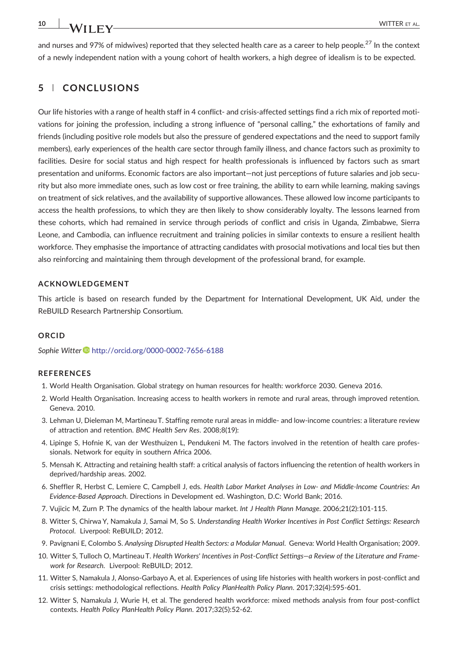and nurses and 97% of midwives) reported that they selected health care as a career to help people.<sup>27</sup> In the context of a newly independent nation with a young cohort of health workers, a high degree of idealism is to be expected.

# 5 | CONCLUSIONS

Our life histories with a range of health staff in 4 conflict‐ and crisis‐affected settings find a rich mix of reported motivations for joining the profession, including a strong influence of "personal calling," the exhortations of family and friends (including positive role models but also the pressure of gendered expectations and the need to support family members), early experiences of the health care sector through family illness, and chance factors such as proximity to facilities. Desire for social status and high respect for health professionals is influenced by factors such as smart presentation and uniforms. Economic factors are also important—not just perceptions of future salaries and job security but also more immediate ones, such as low cost or free training, the ability to earn while learning, making savings on treatment of sick relatives, and the availability of supportive allowances. These allowed low income participants to access the health professions, to which they are then likely to show considerably loyalty. The lessons learned from these cohorts, which had remained in service through periods of conflict and crisis in Uganda, Zimbabwe, Sierra Leone, and Cambodia, can influence recruitment and training policies in similar contexts to ensure a resilient health workforce. They emphasise the importance of attracting candidates with prosocial motivations and local ties but then also reinforcing and maintaining them through development of the professional brand, for example.

#### ACKNOWLEDGEMENT

This article is based on research funded by the Department for International Development, UK Aid, under the ReBUILD Research Partnership Consortium.

#### **ORCID**

Sophie Witter <http://orcid.org/0000-0002-7656-6188>

#### REFERENCES

- 1. World Health Organisation. Global strategy on human resources for health: workforce 2030. Geneva 2016.
- 2. World Health Organisation. Increasing access to health workers in remote and rural areas, through improved retention. Geneva. 2010.
- 3. Lehman U, Dieleman M, Martineau T. Staffing remote rural areas in middle‐ and low‐income countries: a literature review of attraction and retention. BMC Health Serv Res. 2008;8(19):
- 4. Lipinge S, Hofnie K, van der Westhuizen L, Pendukeni M. The factors involved in the retention of health care professionals. Network for equity in southern Africa 2006.
- 5. Mensah K. Attracting and retaining health staff: a critical analysis of factors influencing the retention of health workers in deprived/hardship areas. 2002.
- 6. Sheffler R, Herbst C, Lemiere C, Campbell J, eds. Health Labor Market Analyses in Low‐ and Middle‐Income Countries: An Evidence‐Based Approach. Directions in Development ed. Washington, D.C: World Bank; 2016.
- 7. Vujicic M, Zurn P. The dynamics of the health labour market. Int J Health Plann Manage. 2006;21(2):101‐115.
- 8. Witter S, Chirwa Y, Namakula J, Samai M, So S. Understanding Health Worker Incentives in Post Conflict Settings: Research Protocol. Liverpool: ReBUILD; 2012.
- 9. Pavignani E, Colombo S. Analysing Disrupted Health Sectors: a Modular Manual. Geneva: World Health Organisation; 2009.
- 10. Witter S, Tulloch O, Martineau T. Health Workers' Incentives in Post-Conflict Settings-a Review of the Literature and Framework for Research. Liverpool: ReBUILD; 2012.
- 11. Witter S, Namakula J, Alonso‐Garbayo A, et al. Experiences of using life histories with health workers in post‐conflict and crisis settings: methodological reflections. Health Policy PlanHealth Policy Plann. 2017;32(4):595‐601.
- 12. Witter S, Namakula J, Wurie H, et al. The gendered health workforce: mixed methods analysis from four post‐conflict contexts. Health Policy PlanHealth Policy Plann. 2017;32(5):52‐62.